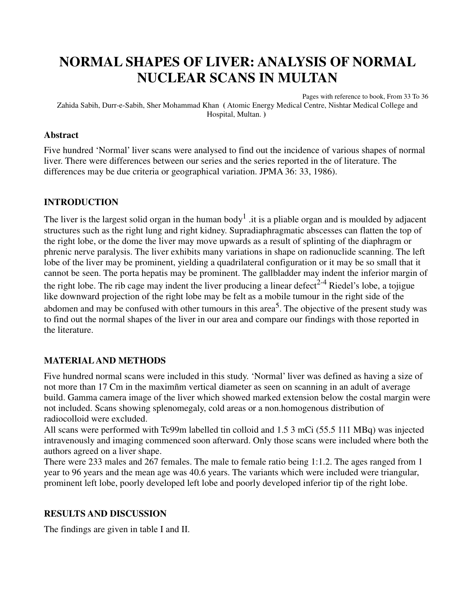### **NORMAL SHAPES OF LIVER: ANALYSIS OF NORMAL NUCLEAR SCANS IN MULTAN**

Pages with reference to book, From 33 To 36 Zahida Sabih, Durr-e-Sabih, Sher Mohammad Khan **(** Atomic Energy Medical Centre, Nishtar Medical College and Hospital, Multan. **)** 

#### **Abstract**

Five hundred 'Normal' liver scans were analysed to find out the incidence of various shapes of normal liver. There were differences between our series and the series reported in the of literature. The differences may be due criteria or geographical variation. JPMA 36: 33, 1986).

### **INTRODUCTION**

The liver is the largest solid organ in the human body<sup>1</sup> .it is a pliable organ and is moulded by adjacent structures such as the right lung and right kidney. Supradiaphragmatic abscesses can flatten the top of the right lobe, or the dome the liver may move upwards as a result of splinting of the diaphragm or phrenic nerve paralysis. The liver exhibits many variations in shape on radionuclide scanning. The left lobe of the liver may be prominent, yielding a quadrilateral configuration or it may be so small that it cannot be seen. The porta hepatis may be prominent. The gallbladder may indent the inferior margin of the right lobe. The rib cage may indent the liver producing a linear defect<sup>2-4</sup> Riedel's lobe, a tojigue like downward projection of the right lobe may be felt as a mobile tumour in the right side of the abdomen and may be confused with other tumours in this area<sup>5</sup>. The objective of the present study was to find out the normal shapes of the liver in our area and compare our findings with those reported in the literature.

### **MATERIAL AND METHODS**

Five hundred normal scans were included in this study. 'Normal' liver was defined as having a size of not more than 17 Cm in the maximñm vertical diameter as seen on scanning in an adult of average build. Gamma camera image of the liver which showed marked extension below the costal margin were not included. Scans showing splenomegaly, cold areas or a non.homogenous distribution of radiocolloid were excluded.

All scans were performed with Tc99m labelled tin colloid and 1.5 3 mCi (55.5 111 MBq) was injected intravenously and imaging commenced soon afterward. Only those scans were included where both the authors agreed on a liver shape.

There were 233 males and 267 females. The male to female ratio being 1:1.2. The ages ranged from 1 year to 96 years and the mean age was 40.6 years. The variants which were included were triangular, prominent left lobe, poorly developed left lobe and poorly developed inferior tip of the right lobe.

#### **RESULTS AND DISCUSSION**

The findings are given in table I and II.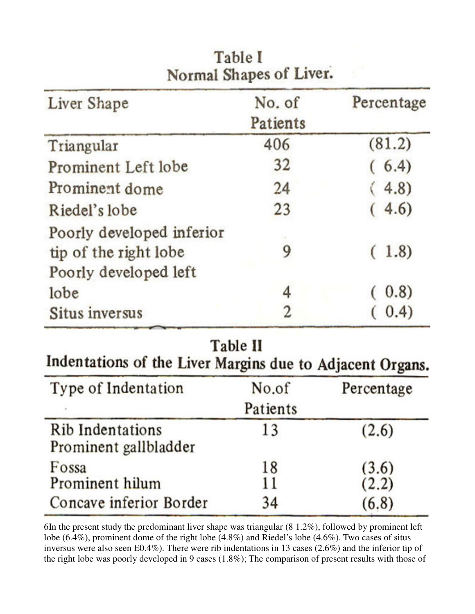| Liver Shape                                                                 | No. of   | Percentage |
|-----------------------------------------------------------------------------|----------|------------|
|                                                                             | Patients |            |
| Triangular                                                                  | 406      | (81.2)     |
| Prominent Left lobe                                                         | 32       | (6.4)      |
| Prominent dome                                                              | 24       | (4.8)      |
| Riedel's lobe                                                               | 23       | (4.6)      |
| Poorly developed inferior<br>tip of the right lobe<br>Poorly developed left | 9        | (1.8)      |
| lobe                                                                        | 4        | (0.8)      |
| Situs inversus                                                              | 2        | (0.4)      |

### Table I Normal Shanes of Liver.

Table II

Indentations of the Liver Margins due to Adjacent Organs.

| Type of Indentation                       | No.of<br>Patients | Percentage |
|-------------------------------------------|-------------------|------------|
| Rib Indentations<br>Prominent gallbladder | 13                | (2.6)      |
| Fossa                                     | 18                | (3.6)      |
| Prominent hilum                           | 11                | (2.2)      |
| Concave inferior Border                   | 34                | (6.8)      |

6In the present study the predominant liver shape was triangular (8 1.2%), followed by prominent left lobe (6.4%), prominent dome of the right lobe (4.8%) and Riedel's lobe (4.6%). Two cases of situs inversus were also seen E0.4%). There were rib indentations in 13 cases (2.6%) and the inferior tip of the right lobe was poorly developed in 9 cases (1.8%); The comparison of present results with those of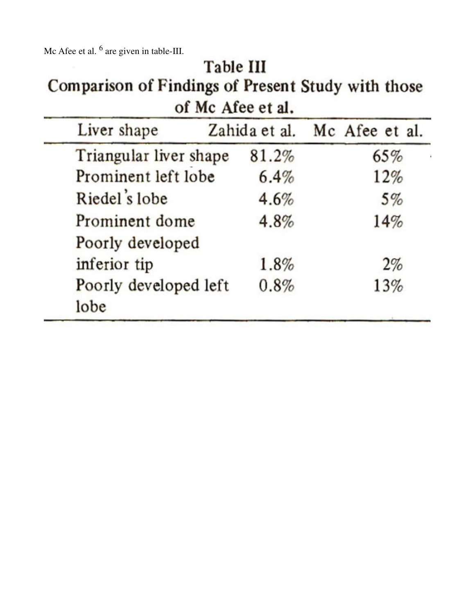Mc Afee et al.  $<sup>6</sup>$  are given in table-III.</sup>

| Nic Alee et al. are given in table-III.<br><b>Table III</b><br>Comparison of Findings of Present Study with those<br>of Mc Afee et al. |       |                              |  |  |
|----------------------------------------------------------------------------------------------------------------------------------------|-------|------------------------------|--|--|
| Liver shape                                                                                                                            |       | Zahida et al. Mc Afee et al. |  |  |
| Triangular liver shape                                                                                                                 | 81.2% | 65%                          |  |  |
| Prominent left lobe                                                                                                                    | 6.4%  | 12%                          |  |  |
| Riedel's lobe                                                                                                                          | 4.6%  | 5%                           |  |  |
| Prominent dome                                                                                                                         | 4.8%  | 14%                          |  |  |
| Poorly developed                                                                                                                       |       |                              |  |  |
| inferior tip                                                                                                                           | 1.8%  | 2%                           |  |  |
| Poorly developed left<br>lobe                                                                                                          | 0.8%  | 13%                          |  |  |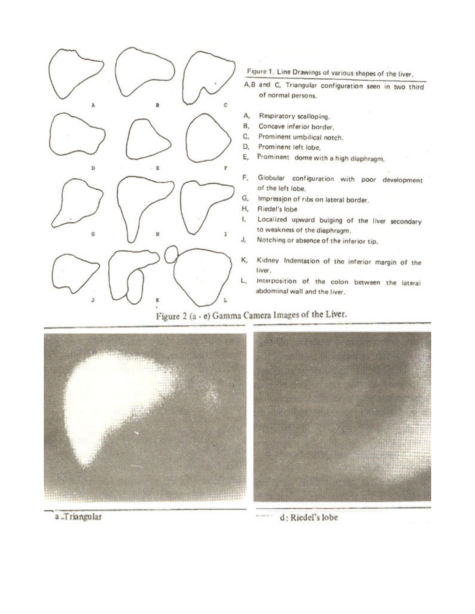

Figure 1. Line Drawings of various shapes of the liver.

A,B and C, Triangular configuration seen in two third of normal persons.

- Respiratory scalloping.
- Concave inferior border.
- Prominent umbilical notch.
- Prominent left lobe.
- Prominent dome with a high diaphragm.
- Globular configuration with poor development of the left lobe.
- G, Impression of ribs on lateral border.
- Riedel's lobe
- Localized upward bulging of the liver secondary to weakness of the diaphragm.
- Notching or absence of the inferior tip.
- Kidney Indentation of the inferior margin of the
- Interposition of the colon between the lateral abdominal wall and the liver.

Figure 2 (a - e) Gamma Camera Images of the Liver.





a .Triangular

d: Riedel's lobe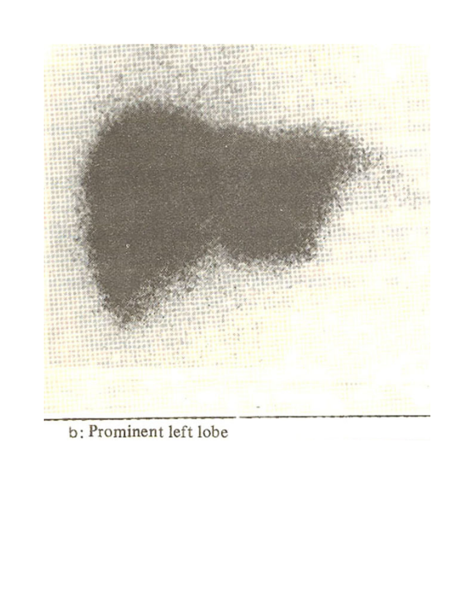

# b: Prominent left lobe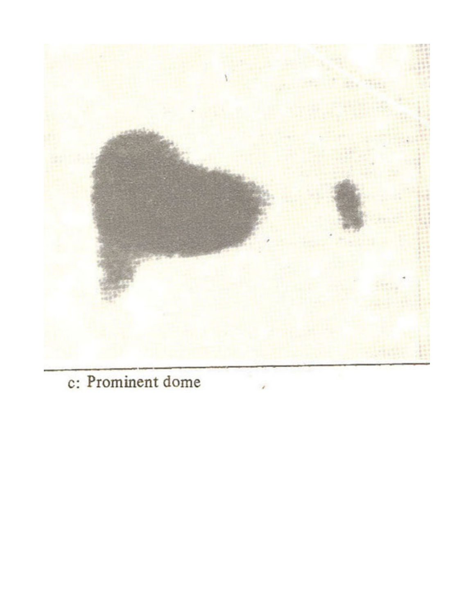

c: Prominent dome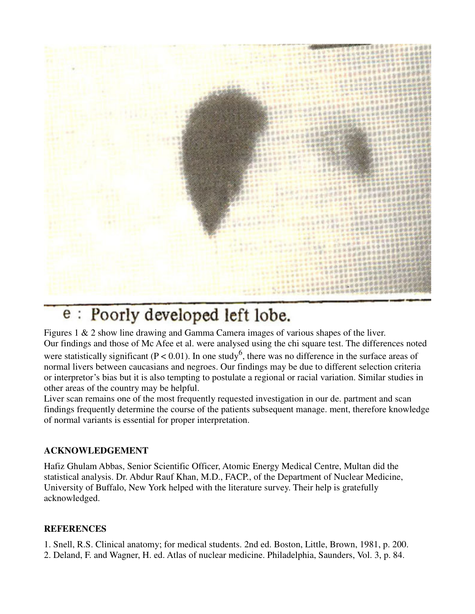

## e : Poorly developed left lobe.

Figures 1 & 2 show line drawing and Gamma Camera images of various shapes of the liver. Our findings and those of Mc Afee et al. were analysed using the chi square test. The differences noted were statistically significant ( $P < 0.01$ ). In one study<sup>6</sup>, there was no difference in the surface areas of normal livers between caucasians and negroes. Our findings may be due to different selection criteria or interpretor's bias but it is also tempting to postulate a regional or racial variation. Similar studies in other areas of the country may be helpful.

Liver scan remains one of the most frequently requested investigation in our de. partment and scan findings frequently determine the course of the patients subsequent manage. ment, therefore knowledge of normal variants is essential for proper interpretation.

### **ACKNOWLEDGEMENT**

Hafiz Ghulam Abbas, Senior Scientific Officer, Atomic Energy Medical Centre, Multan did the statistical analysis. Dr. Abdur Rauf Khan, M.D., FACP., of the Department of Nuclear Medicine, University of Buffalo, New York helped with the literature survey. Their help is gratefully acknowledged.

### **REFERENCES**

1. Snell, R.S. Clinical anatomy; for medical students. 2nd ed. Boston, Little, Brown, 1981, p. 200. 2. Deland, F. and Wagner, H. ed. Atlas of nuclear medicine. Philadelphia, Saunders, Vol. 3, p. 84.